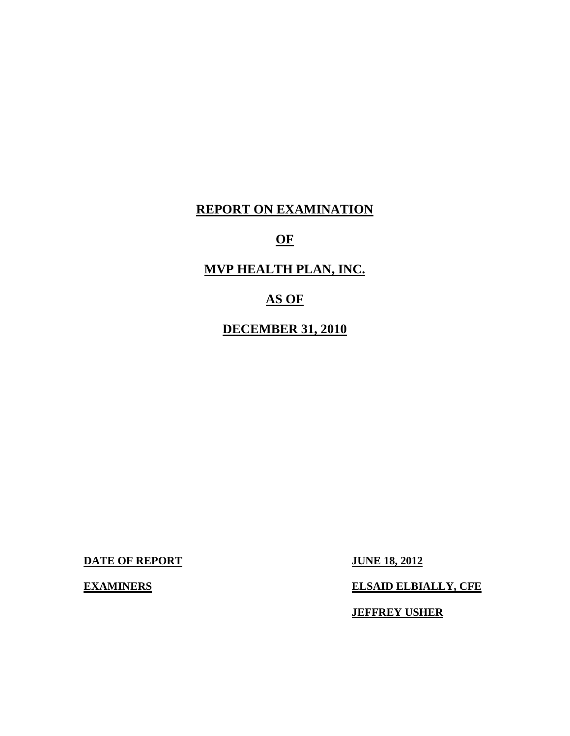# **REPORT ON EXAMINATION**

# **OF**

# **MVP HEALTH PLAN, INC.**

# **AS OF**

# **DECEMBER 31, 2010**

**DATE OF REPORT JUNE 18, 2012** 

## **EXAMINERS** ELSAID ELBIALLY, CFE

**JEFFREY USHER**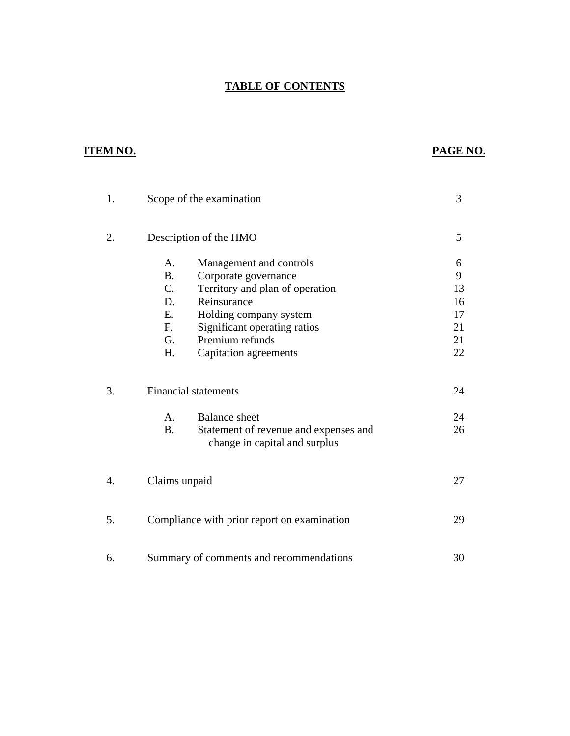# **TABLE OF CONTENTS**

# **ITEM NO. PAGE NO.**

| 1. |                             | Scope of the examination                                                                       | 3        |
|----|-----------------------------|------------------------------------------------------------------------------------------------|----------|
| 2. |                             | Description of the HMO                                                                         | 5        |
|    | A.<br><b>B.</b>             | Management and controls<br>Corporate governance                                                | 6<br>9   |
|    | C.<br>D.                    | Territory and plan of operation<br>Reinsurance                                                 | 13<br>16 |
|    | E.<br>$F_{\cdot}$           | Holding company system<br>Significant operating ratios                                         | 17<br>21 |
|    | G.<br>H.                    | Premium refunds<br>Capitation agreements                                                       | 21<br>22 |
| 3. | <b>Financial statements</b> | 24                                                                                             |          |
|    | $\mathsf{A}$ .<br><b>B.</b> | <b>Balance</b> sheet<br>Statement of revenue and expenses and<br>change in capital and surplus | 24<br>26 |
| 4. | Claims unpaid               |                                                                                                | 27       |
| 5. |                             | Compliance with prior report on examination                                                    | 29       |
| 6. |                             | Summary of comments and recommendations                                                        | 30       |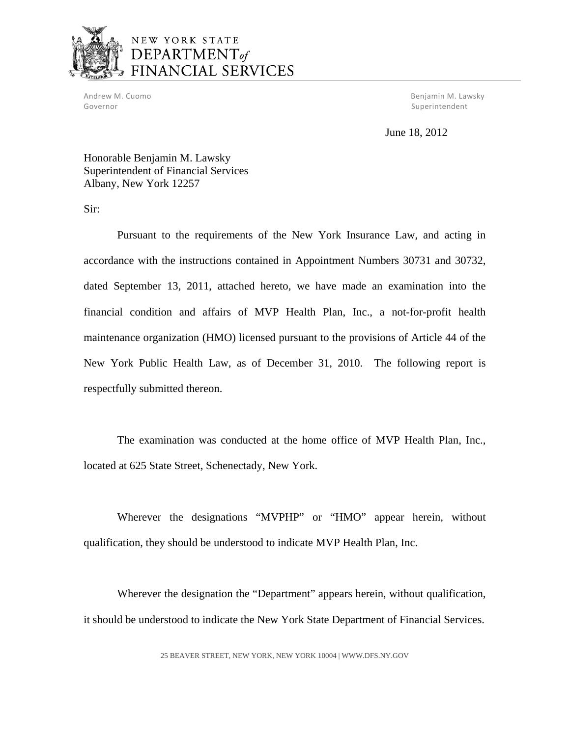

# NEW YORK STATE DEPARTMENT<sub>of</sub> FINANCIAL SERVICES

Governor Superintendent Communication of the Superintendent Superintendent Superintendent

Andrew M. Cuomo Benjamin M. Lawsky

June 18, 2012

Honorable Benjamin M. Lawsky Superintendent of Financial Services Albany, New York 12257

Sir:

Pursuant to the requirements of the New York Insurance Law, and acting in accordance with the instructions contained in Appointment Numbers 30731 and 30732, dated September 13, 2011, attached hereto, we have made an examination into the financial condition and affairs of MVP Health Plan, Inc., a not-for-profit health maintenance organization (HMO) licensed pursuant to the provisions of Article 44 of the New York Public Health Law, as of December 31, 2010. The following report is respectfully submitted thereon.

The examination was conducted at the home office of MVP Health Plan, Inc., located at 625 State Street, Schenectady, New York.

Wherever the designations "MVPHP" or "HMO" appear herein, without qualification, they should be understood to indicate MVP Health Plan, Inc.

Wherever the designation the "Department" appears herein, without qualification, it should be understood to indicate the New York State Department of Financial Services.

25 BEAVER STREET, NEW YORK, NEW YORK 10004 |<WWW.DFS.NY.GOV>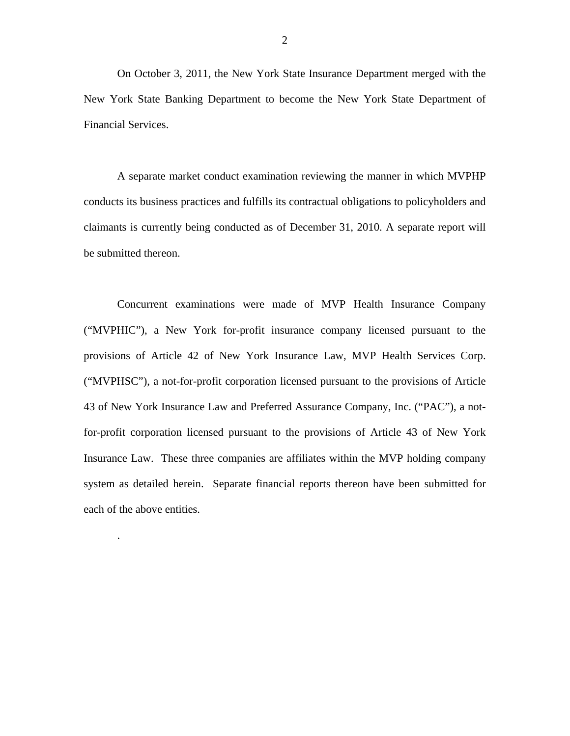On October 3, 2011, the New York State Insurance Department merged with the New York State Banking Department to become the New York State Department of Financial Services.

A separate market conduct examination reviewing the manner in which MVPHP conducts its business practices and fulfills its contractual obligations to policyholders and claimants is currently being conducted as of December 31, 2010. A separate report will be submitted thereon.

Concurrent examinations were made of MVP Health Insurance Company ("MVPHIC"), a New York for-profit insurance company licensed pursuant to the provisions of Article 42 of New York Insurance Law, MVP Health Services Corp. ("MVPHSC"), a not-for-profit corporation licensed pursuant to the provisions of Article 43 of New York Insurance Law and Preferred Assurance Company, Inc. ("PAC"), a notfor-profit corporation licensed pursuant to the provisions of Article 43 of New York Insurance Law. These three companies are affiliates within the MVP holding company system as detailed herein. Separate financial reports thereon have been submitted for each of the above entities.

.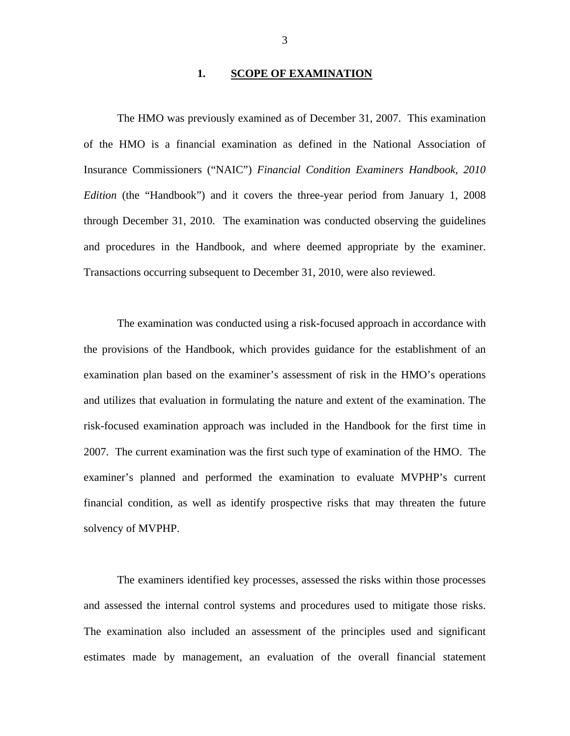#### **1. SCOPE OF EXAMINATION**

<span id="page-4-0"></span>The HMO was previously examined as of December 31, 2007. This examination of the HMO is a financial examination as defined in the National Association of Insurance Commissioners ("NAIC") *Financial Condition Examiners Handbook, 2010 Edition* (the "Handbook") and it covers the three-year period from January 1, 2008 through December 31, 2010. The examination was conducted observing the guidelines and procedures in the Handbook, and where deemed appropriate by the examiner. Transactions occurring subsequent to December 31, 2010, were also reviewed.

The examination was conducted using a risk-focused approach in accordance with the provisions of the Handbook, which provides guidance for the establishment of an examination plan based on the examiner's assessment of risk in the HMO's operations and utilizes that evaluation in formulating the nature and extent of the examination. The risk-focused examination approach was included in the Handbook for the first time in 2007. The current examination was the first such type of examination of the HMO. The examiner's planned and performed the examination to evaluate MVPHP's current financial condition, as well as identify prospective risks that may threaten the future solvency of MVPHP.

The examiners identified key processes, assessed the risks within those processes and assessed the internal control systems and procedures used to mitigate those risks. The examination also included an assessment of the principles used and significant estimates made by management, an evaluation of the overall financial statement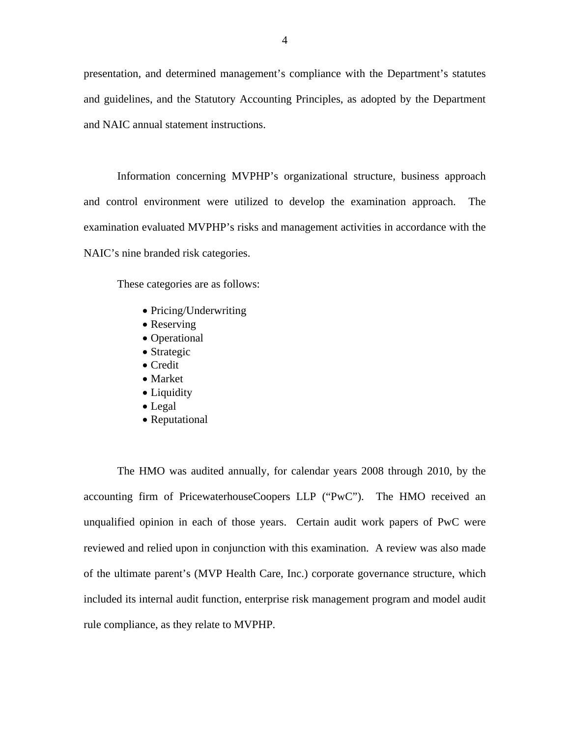presentation, and determined management's compliance with the Department's statutes and guidelines, and the Statutory Accounting Principles, as adopted by the Department and NAIC annual statement instructions.

Information concerning MVPHP's organizational structure, business approach and control environment were utilized to develop the examination approach. The examination evaluated MVPHP's risks and management activities in accordance with the NAIC's nine branded risk categories.

These categories are as follows:

- Pricing/Underwriting
- Reserving
- Operational
- Strategic
- Credit
- Market
- Liquidity
- Legal
- Reputational

The HMO was audited annually, for calendar years 2008 through 2010, by the accounting firm of PricewaterhouseCoopers LLP ("PwC"). The HMO received an unqualified opinion in each of those years. Certain audit work papers of PwC were reviewed and relied upon in conjunction with this examination. A review was also made of the ultimate parent's (MVP Health Care, Inc.) corporate governance structure, which included its internal audit function, enterprise risk management program and model audit rule compliance, as they relate to MVPHP.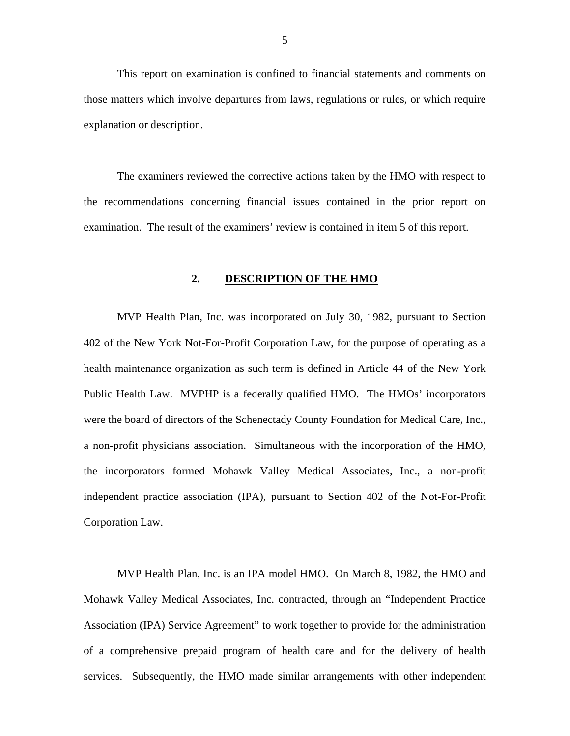<span id="page-6-0"></span>This report on examination is confined to financial statements and comments on those matters which involve departures from laws, regulations or rules, or which require explanation or description.

The examiners reviewed the corrective actions taken by the HMO with respect to the recommendations concerning financial issues contained in the prior report on examination. The result of the examiners' review is contained in item 5 of this report.

#### **2. DESCRIPTION OF THE HMO**

MVP Health Plan, Inc. was incorporated on July 30, 1982, pursuant to Section 402 of the New York Not-For-Profit Corporation Law, for the purpose of operating as a health maintenance organization as such term is defined in Article 44 of the New York Public Health Law. MVPHP is a federally qualified HMO. The HMOs' incorporators were the board of directors of the Schenectady County Foundation for Medical Care, Inc., a non-profit physicians association. Simultaneous with the incorporation of the HMO, the incorporators formed Mohawk Valley Medical Associates, Inc., a non-profit independent practice association (IPA), pursuant to Section 402 of the Not-For-Profit Corporation Law.

MVP Health Plan, Inc. is an IPA model HMO. On March 8, 1982, the HMO and Mohawk Valley Medical Associates, Inc. contracted, through an "Independent Practice Association (IPA) Service Agreement" to work together to provide for the administration of a comprehensive prepaid program of health care and for the delivery of health services. Subsequently, the HMO made similar arrangements with other independent

5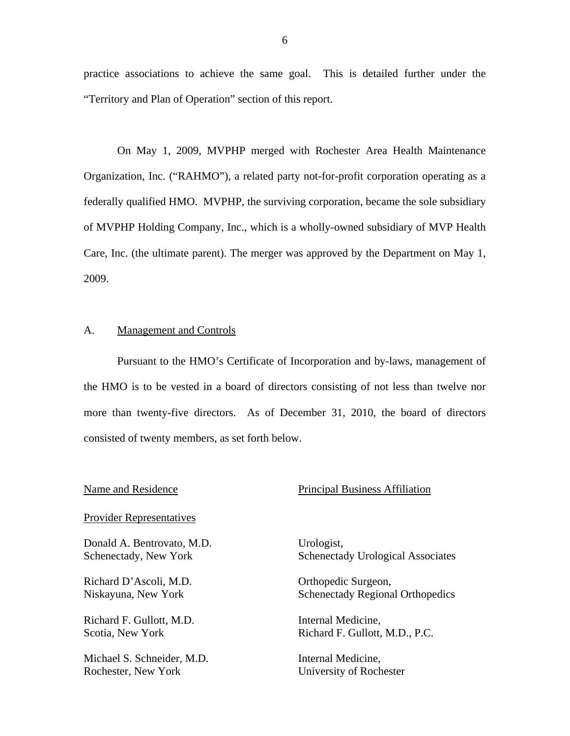practice associations to achieve the same goal. This is detailed further under the "Territory and Plan of Operation" section of this report.

On May 1, 2009, MVPHP merged with Rochester Area Health Maintenance Organization, Inc. ("RAHMO"), a related party not-for-profit corporation operating as a federally qualified HMO. MVPHP, the surviving corporation, became the sole subsidiary of MVPHP Holding Company, Inc., which is a wholly-owned subsidiary of MVP Health Care, Inc. (the ultimate parent). The merger was approved by the Department on May 1, 2009.

#### A. Management and Controls

Pursuant to the HMO's Certificate of Incorporation and by-laws, management of the HMO is to be vested in a board of directors consisting of not less than twelve nor more than twenty-five directors. As of December 31, 2010, the board of directors consisted of twenty members, as set forth below.

## Name and Residence The Principal Business Affiliation

#### **Provider Representatives**

Donald A. Bentrovato, M.D. Schenectady, New York

Richard D'Ascoli, M.D.<br>Niskayuna, New York

Richard F. Gullott, M.D. Scotia, New York

Michael S. Schneider, M.D. Rochester, New York

Urologist, Schenectady Urological Associates

Orthopedic Surgeon, Schenectady Regional Orthopedics

Internal Medicine, Richard F. Gullott, M.D., P.C.

Internal Medicine, University of Rochester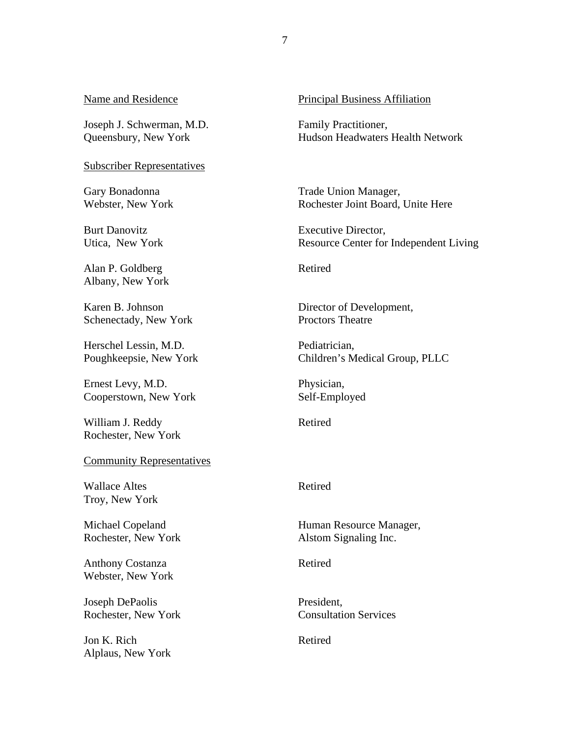Joseph J. Schwerman, M.D. Queensbury, New York

# Subscriber Representatives Gary Bonadonna

Webster, New York

Burt Danovitz Utica, New York

Alan P. Goldberg Albany, New York

Karen B. Johnson Schenectady, New York

Herschel Lessin, M.D. Poughkeepsie, New York

Ernest Levy, M.D. Cooperstown, New York

William J. Reddy Rochester, New York

# Community Representatives Wallace Altes

Troy, New York

Michael Copeland Rochester, New York

Anthony Costanza Webster, New York

Joseph DePaolis Rochester, New York

Jon K. Rich Alplaus, New York

#### Name and Residence **Principal Business** Affiliation

Family Practitioner, Hudson Headwaters Health Network

Trade Union Manager, Rochester Joint Board, Unite Here

Executive Director, Resource Center for Independent Living

Retired

Director of Development, Proctors Theatre

Pediatrician, Children's Medical Group, PLLC

Physician, Self-Employed

Retired

#### Retired

Human Resource Manager, Alstom Signaling Inc.

Retired

President, Consultation Services

Retired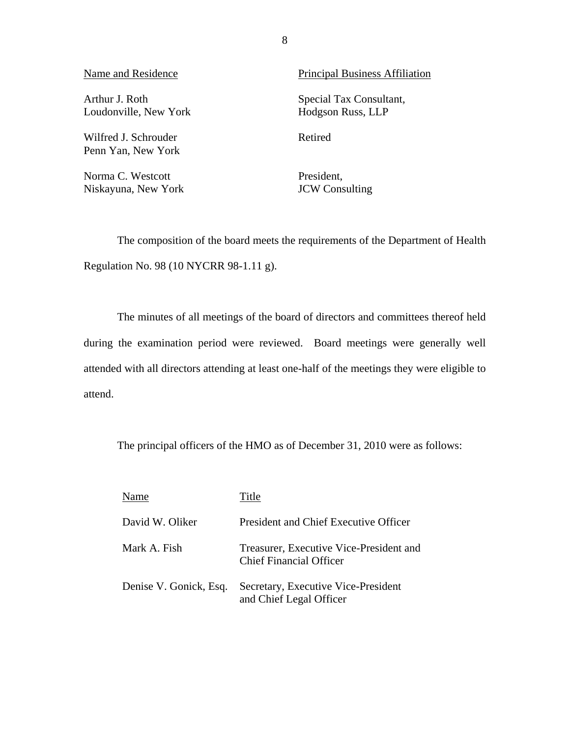Loudonville, New York Hodgson Russ, LLP

Wilfred J. Schrouder Retired Penn Yan, New York

Norma C. Westcott President. Niskayuna, New York JCW Consulting

Name and Residence Principal Business Affiliation

Arthur J. Roth Special Tax Consultant,

The composition of the board meets the requirements of the Department of Health Regulation No. 98 (10 NYCRR 98-1.11 g).

The minutes of all meetings of the board of directors and committees thereof held during the examination period were reviewed. Board meetings were generally well attended with all directors attending at least one-half of the meetings they were eligible to attend.

The principal officers of the HMO as of December 31, 2010 were as follows:

| Name                   | Title                                                                     |
|------------------------|---------------------------------------------------------------------------|
| David W. Oliker        | President and Chief Executive Officer                                     |
| Mark A. Fish           | Treasurer, Executive Vice-President and<br><b>Chief Financial Officer</b> |
| Denise V. Gonick, Esq. | Secretary, Executive Vice-President<br>and Chief Legal Officer            |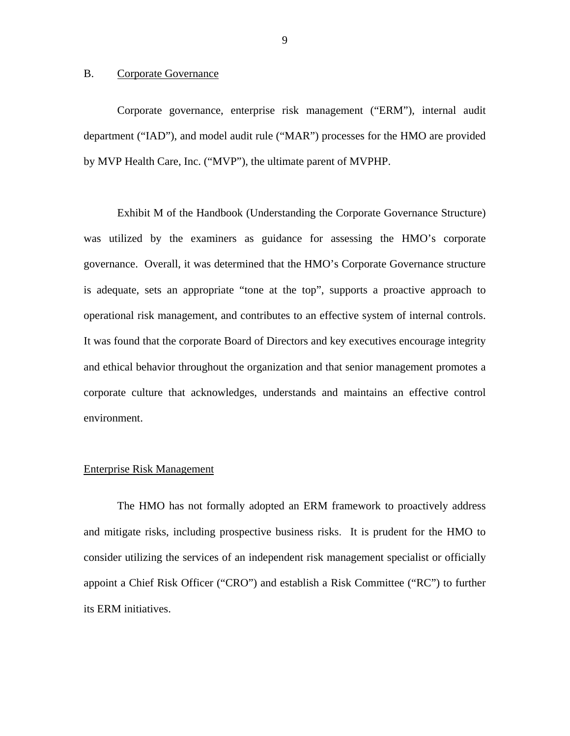#### <span id="page-10-0"></span>B. Corporate Governance

Corporate governance, enterprise risk management ("ERM"), internal audit department ("IAD"), and model audit rule ("MAR") processes for the HMO are provided by MVP Health Care, Inc. ("MVP"), the ultimate parent of MVPHP.

Exhibit M of the Handbook (Understanding the Corporate Governance Structure) was utilized by the examiners as guidance for assessing the HMO's corporate governance. Overall, it was determined that the HMO's Corporate Governance structure is adequate, sets an appropriate "tone at the top", supports a proactive approach to operational risk management, and contributes to an effective system of internal controls. It was found that the corporate Board of Directors and key executives encourage integrity and ethical behavior throughout the organization and that senior management promotes a corporate culture that acknowledges, understands and maintains an effective control environment.

#### Enterprise Risk Management

The HMO has not formally adopted an ERM framework to proactively address and mitigate risks, including prospective business risks. It is prudent for the HMO to consider utilizing the services of an independent risk management specialist or officially appoint a Chief Risk Officer ("CRO") and establish a Risk Committee ("RC") to further its ERM initiatives.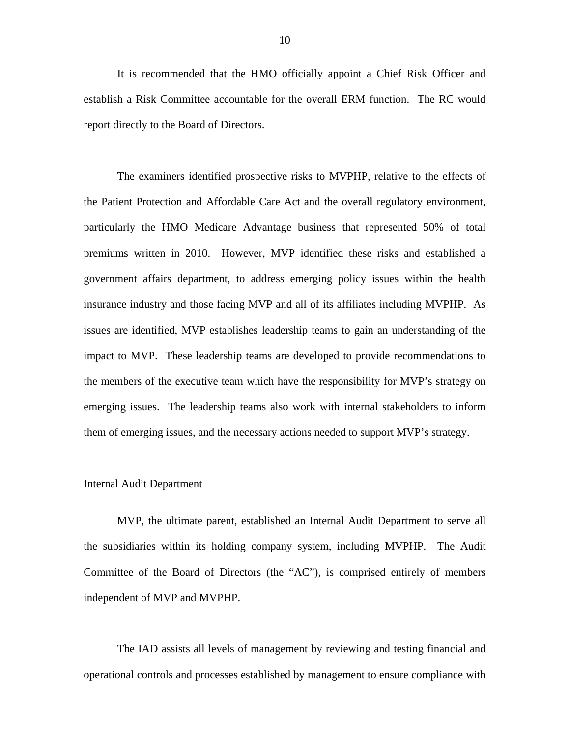It is recommended that the HMO officially appoint a Chief Risk Officer and establish a Risk Committee accountable for the overall ERM function. The RC would report directly to the Board of Directors.

The examiners identified prospective risks to MVPHP, relative to the effects of the Patient Protection and Affordable Care Act and the overall regulatory environment, particularly the HMO Medicare Advantage business that represented 50% of total premiums written in 2010. However, MVP identified these risks and established a government affairs department, to address emerging policy issues within the health insurance industry and those facing MVP and all of its affiliates including MVPHP. As issues are identified, MVP establishes leadership teams to gain an understanding of the impact to MVP. These leadership teams are developed to provide recommendations to the members of the executive team which have the responsibility for MVP's strategy on emerging issues. The leadership teams also work with internal stakeholders to inform them of emerging issues, and the necessary actions needed to support MVP's strategy.

#### **Internal Audit Department**

MVP, the ultimate parent, established an Internal Audit Department to serve all the subsidiaries within its holding company system, including MVPHP. The Audit Committee of the Board of Directors (the "AC"), is comprised entirely of members independent of MVP and MVPHP.

The IAD assists all levels of management by reviewing and testing financial and operational controls and processes established by management to ensure compliance with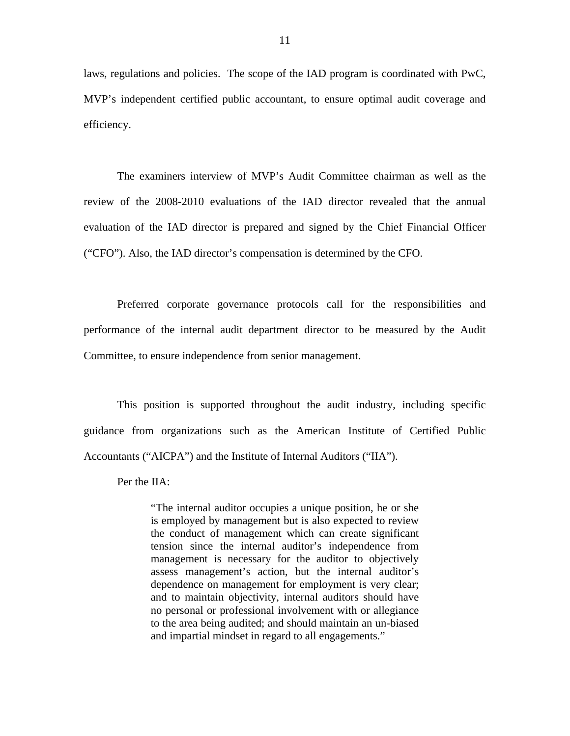laws, regulations and policies. The scope of the IAD program is coordinated with PwC, MVP's independent certified public accountant, to ensure optimal audit coverage and efficiency.

The examiners interview of MVP's Audit Committee chairman as well as the review of the 2008-2010 evaluations of the IAD director revealed that the annual evaluation of the IAD director is prepared and signed by the Chief Financial Officer ("CFO"). Also, the IAD director's compensation is determined by the CFO.

Preferred corporate governance protocols call for the responsibilities and performance of the internal audit department director to be measured by the Audit Committee, to ensure independence from senior management.

This position is supported throughout the audit industry, including specific guidance from organizations such as the American Institute of Certified Public Accountants ("AICPA") and the Institute of Internal Auditors ("IIA").

Per the IIA:

"The internal auditor occupies a unique position, he or she is employed by management but is also expected to review the conduct of management which can create significant tension since the internal auditor's independence from management is necessary for the auditor to objectively assess management's action, but the internal auditor's dependence on management for employment is very clear; and to maintain objectivity, internal auditors should have no personal or professional involvement with or allegiance to the area being audited; and should maintain an un-biased and impartial mindset in regard to all engagements."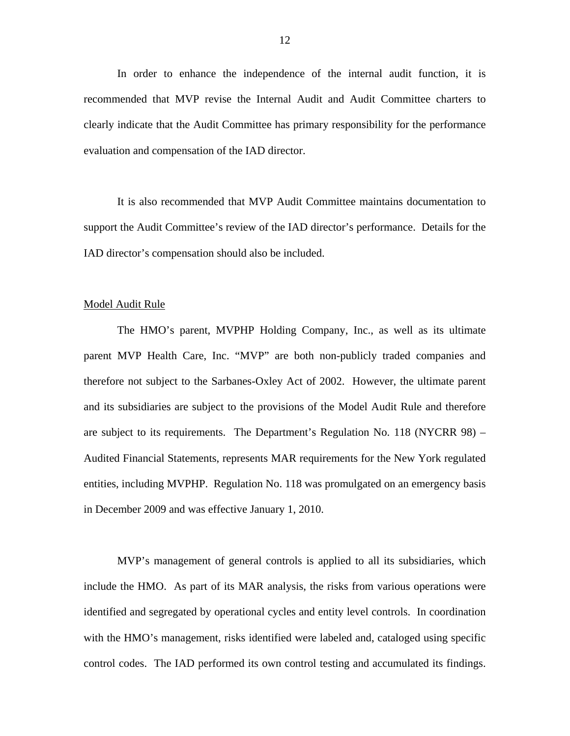In order to enhance the independence of the internal audit function, it is recommended that MVP revise the Internal Audit and Audit Committee charters to clearly indicate that the Audit Committee has primary responsibility for the performance evaluation and compensation of the IAD director.

It is also recommended that MVP Audit Committee maintains documentation to support the Audit Committee's review of the IAD director's performance. Details for the IAD director's compensation should also be included.

#### Model Audit Rule

The HMO's parent, MVPHP Holding Company, Inc., as well as its ultimate parent MVP Health Care, Inc. "MVP" are both non-publicly traded companies and therefore not subject to the Sarbanes-Oxley Act of 2002. However, the ultimate parent and its subsidiaries are subject to the provisions of the Model Audit Rule and therefore are subject to its requirements. The Department's Regulation No. 118 (NYCRR 98) – Audited Financial Statements, represents MAR requirements for the New York regulated entities, including MVPHP. Regulation No. 118 was promulgated on an emergency basis in December 2009 and was effective January 1, 2010.

MVP's management of general controls is applied to all its subsidiaries, which include the HMO. As part of its MAR analysis, the risks from various operations were identified and segregated by operational cycles and entity level controls. In coordination with the HMO's management, risks identified were labeled and, cataloged using specific control codes. The IAD performed its own control testing and accumulated its findings.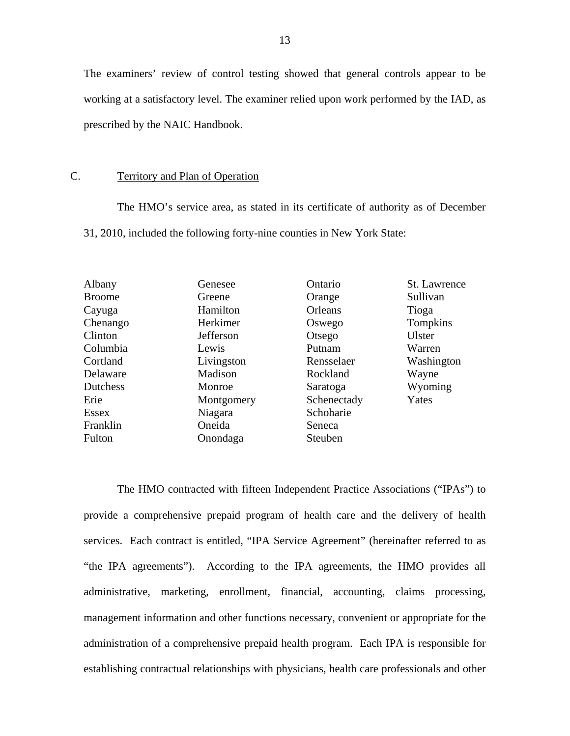<span id="page-14-0"></span>The examiners' review of control testing showed that general controls appear to be working at a satisfactory level. The examiner relied upon work performed by the IAD, as prescribed by the NAIC Handbook.

#### C. Territory and Plan of Operation

The HMO's service area, as stated in its certificate of authority as of December 31, 2010, included the following forty-nine counties in New York State:

| Albany          | Genesee    | Ontario     | St. Lawrence |
|-----------------|------------|-------------|--------------|
| <b>Broome</b>   | Greene     | Orange      | Sullivan     |
| Cayuga          | Hamilton   | Orleans     | Tioga        |
| Chenango        | Herkimer   | Oswego      | Tompkins     |
| Clinton         | Jefferson  | Otsego      | Ulster       |
| Columbia        | Lewis      | Putnam      | Warren       |
| Cortland        | Livingston | Rensselaer  | Washington   |
| Delaware        | Madison    | Rockland    | Wayne        |
| <b>Dutchess</b> | Monroe     | Saratoga    | Wyoming      |
| Erie            | Montgomery | Schenectady | Yates        |
| Essex           | Niagara    | Schoharie   |              |
| Franklin        | Oneida     | Seneca      |              |
| Fulton          | Onondaga   | Steuben     |              |

The HMO contracted with fifteen Independent Practice Associations ("IPAs") to provide a comprehensive prepaid program of health care and the delivery of health services. Each contract is entitled, "IPA Service Agreement" (hereinafter referred to as "the IPA agreements"). According to the IPA agreements, the HMO provides all administrative, marketing, enrollment, financial, accounting, claims processing, management information and other functions necessary, convenient or appropriate for the administration of a comprehensive prepaid health program. Each IPA is responsible for establishing contractual relationships with physicians, health care professionals and other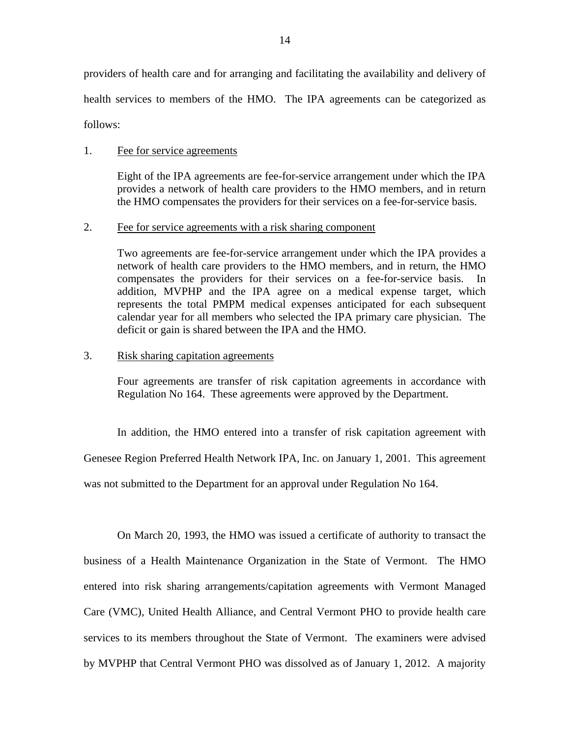providers of health care and for arranging and facilitating the availability and delivery of health services to members of the HMO. The IPA agreements can be categorized as follows:

#### 1. Fee for service agreements

Eight of the IPA agreements are fee-for-service arrangement under which the IPA provides a network of health care providers to the HMO members, and in return the HMO compensates the providers for their services on a fee-for-service basis.

#### 2. Fee for service agreements with a risk sharing component

Two agreements are fee-for-service arrangement under which the IPA provides a network of health care providers to the HMO members, and in return, the HMO compensates the providers for their services on a fee-for-service basis. In addition, MVPHP and the IPA agree on a medical expense target, which represents the total PMPM medical expenses anticipated for each subsequent calendar year for all members who selected the IPA primary care physician. The deficit or gain is shared between the IPA and the HMO.

#### 3. Risk sharing capitation agreements

Four agreements are transfer of risk capitation agreements in accordance with Regulation No 164. These agreements were approved by the Department.

In addition, the HMO entered into a transfer of risk capitation agreement with Genesee Region Preferred Health Network IPA, Inc. on January 1, 2001. This agreement was not submitted to the Department for an approval under Regulation No 164.

On March 20, 1993, the HMO was issued a certificate of authority to transact the business of a Health Maintenance Organization in the State of Vermont. The HMO entered into risk sharing arrangements/capitation agreements with Vermont Managed Care (VMC), United Health Alliance, and Central Vermont PHO to provide health care services to its members throughout the State of Vermont. The examiners were advised by MVPHP that Central Vermont PHO was dissolved as of January 1, 2012. A majority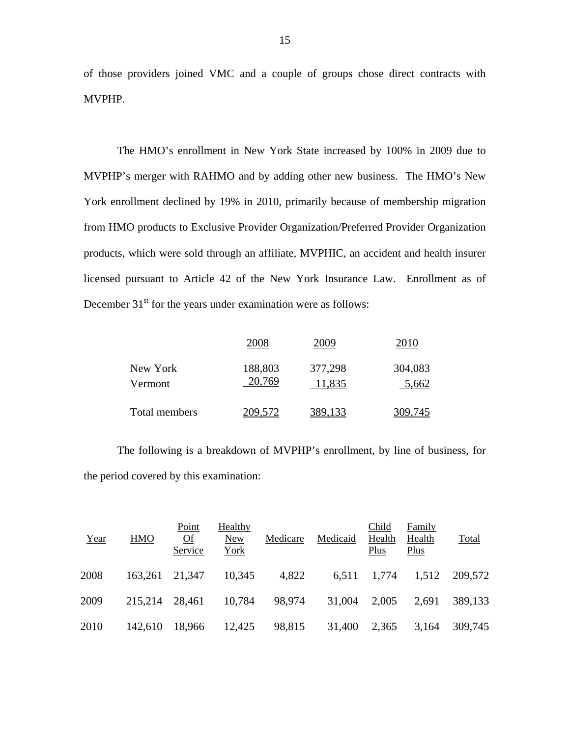of those providers joined VMC and a couple of groups chose direct contracts with MVPHP.

The HMO's enrollment in New York State increased by 100% in 2009 due to MVPHP's merger with RAHMO and by adding other new business. The HMO's New York enrollment declined by 19% in 2010, primarily because of membership migration from HMO products to Exclusive Provider Organization/Preferred Provider Organization products, which were sold through an affiliate, MVPHIC, an accident and health insurer licensed pursuant to Article 42 of the New York Insurance Law. Enrollment as of December  $31<sup>st</sup>$  for the years under examination were as follows:

|                     | 2008              | 2009              | 2010             |
|---------------------|-------------------|-------------------|------------------|
| New York<br>Vermont | 188,803<br>20,769 | 377,298<br>11,835 | 304,083<br>5,662 |
| Total members       | 209,572           | 389,133           | 309,745          |

The following is a breakdown of MVPHP's enrollment, by line of business, for the period covered by this examination:

| Year | <b>HMO</b> | Point<br>Qf<br>Service | Healthy<br>New<br>York | Medicare | Medicaid | Child<br>Health<br>Plus | Family<br>Health<br>Plus | <b>Total</b> |
|------|------------|------------------------|------------------------|----------|----------|-------------------------|--------------------------|--------------|
| 2008 | 163,261    | 21.347                 | 10,345                 | 4,822    | 6.511    | 1,774                   | 1,512                    | 209,572      |
| 2009 | 215,214    | 28,461                 | 10,784                 | 98,974   | 31,004   | 2,005                   | 2.691                    | 389,133      |
| 2010 | 142,610    | 18,966                 | 12,425                 | 98,815   | 31,400   | 2,365                   | 3,164                    | 309,745      |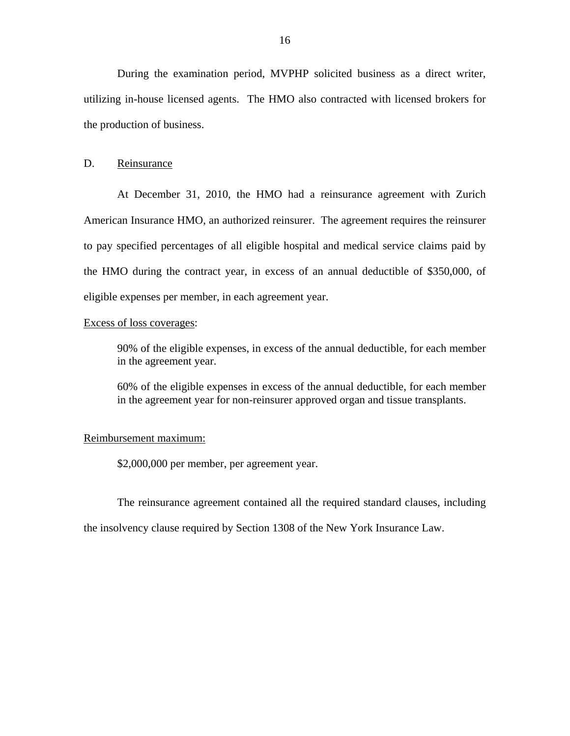<span id="page-17-0"></span>During the examination period, MVPHP solicited business as a direct writer, utilizing in-house licensed agents. The HMO also contracted with licensed brokers for the production of business.

#### D. Reinsurance

At December 31, 2010, the HMO had a reinsurance agreement with Zurich American Insurance HMO, an authorized reinsurer. The agreement requires the reinsurer to pay specified percentages of all eligible hospital and medical service claims paid by the HMO during the contract year, in excess of an annual deductible of \$350,000, of eligible expenses per member, in each agreement year.

#### Excess of loss coverages:

90% of the eligible expenses, in excess of the annual deductible, for each member in the agreement year.

60% of the eligible expenses in excess of the annual deductible, for each member in the agreement year for non-reinsurer approved organ and tissue transplants.

#### Reimbursement maximum:

\$2,000,000 per member, per agreement year.

The reinsurance agreement contained all the required standard clauses, including

the insolvency clause required by Section 1308 of the New York Insurance Law.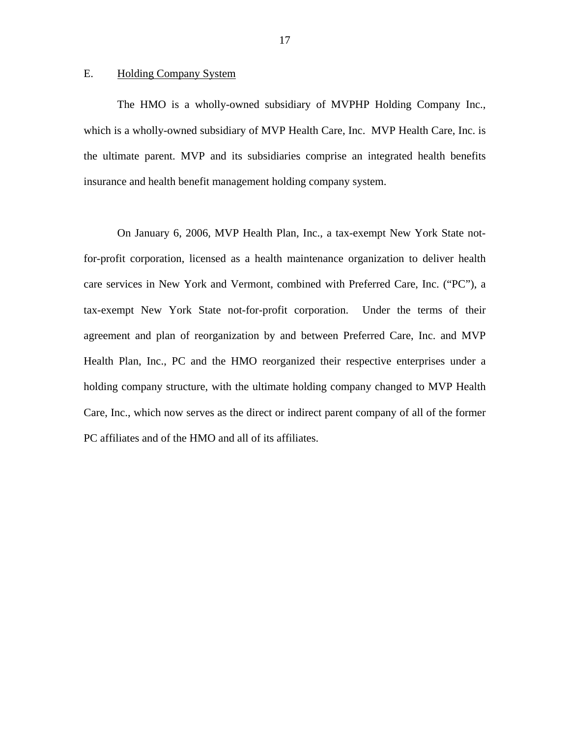#### <span id="page-18-0"></span>E. Holding Company System

The HMO is a wholly-owned subsidiary of MVPHP Holding Company Inc., which is a wholly-owned subsidiary of MVP Health Care, Inc. MVP Health Care, Inc. is the ultimate parent. MVP and its subsidiaries comprise an integrated health benefits insurance and health benefit management holding company system.

On January 6, 2006, MVP Health Plan, Inc., a tax-exempt New York State notfor-profit corporation, licensed as a health maintenance organization to deliver health care services in New York and Vermont, combined with Preferred Care, Inc. ("PC"), a tax-exempt New York State not-for-profit corporation. Under the terms of their agreement and plan of reorganization by and between Preferred Care, Inc. and MVP Health Plan, Inc., PC and the HMO reorganized their respective enterprises under a holding company structure, with the ultimate holding company changed to MVP Health Care, Inc., which now serves as the direct or indirect parent company of all of the former PC affiliates and of the HMO and all of its affiliates.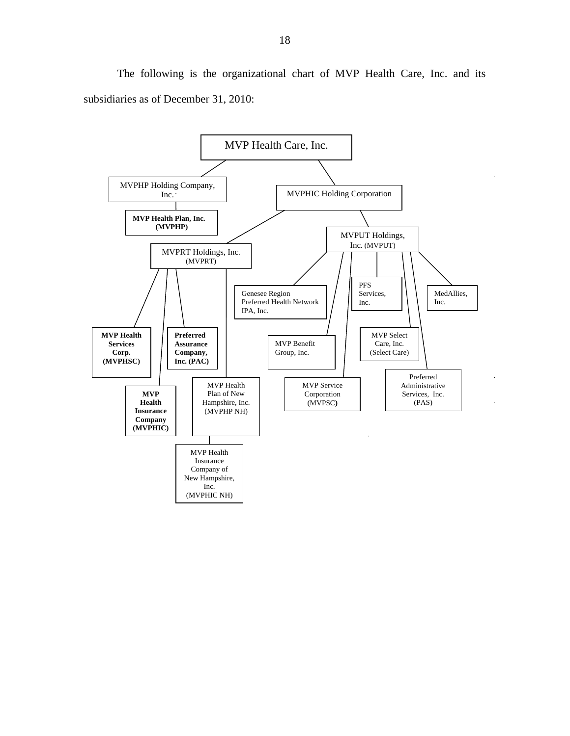The following is the organizational chart of MVP Health Care, Inc. and its subsidiaries as of December 31, 2010:

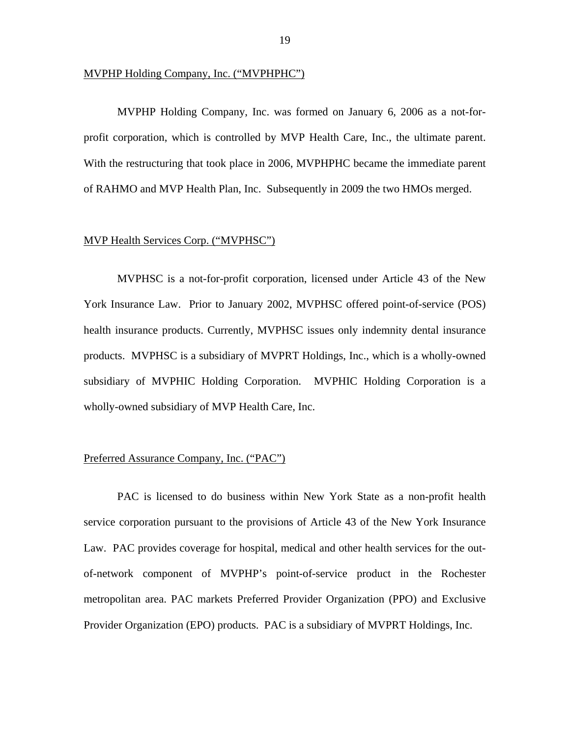#### MVPHP Holding Company, Inc. ("MVPHPHC")

MVPHP Holding Company, Inc. was formed on January 6, 2006 as a not-forprofit corporation, which is controlled by MVP Health Care, Inc., the ultimate parent. With the restructuring that took place in 2006, MVPHPHC became the immediate parent of RAHMO and MVP Health Plan, Inc. Subsequently in 2009 the two HMOs merged.

#### **MVP Health Services Corp. ("MVPHSC")**

MVPHSC is a not-for-profit corporation, licensed under Article 43 of the New York Insurance Law. Prior to January 2002, MVPHSC offered point-of-service (POS) health insurance products. Currently, MVPHSC issues only indemnity dental insurance products. MVPHSC is a subsidiary of MVPRT Holdings, Inc., which is a wholly-owned subsidiary of MVPHIC Holding Corporation. MVPHIC Holding Corporation is a wholly-owned subsidiary of MVP Health Care, Inc.

#### Preferred Assurance Company, Inc. ("PAC")

PAC is licensed to do business within New York State as a non-profit health service corporation pursuant to the provisions of Article 43 of the New York Insurance Law. PAC provides coverage for hospital, medical and other health services for the outof-network component of MVPHP's point-of-service product in the Rochester metropolitan area. PAC markets Preferred Provider Organization (PPO) and Exclusive Provider Organization (EPO) products. PAC is a subsidiary of MVPRT Holdings, Inc.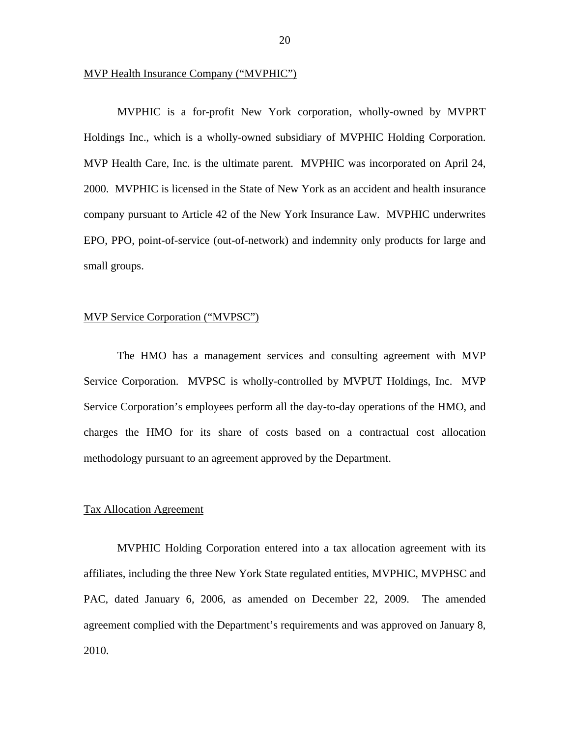#### MVP Health Insurance Company ("MVPHIC")

MVPHIC is a for-profit New York corporation, wholly-owned by MVPRT Holdings Inc., which is a wholly-owned subsidiary of MVPHIC Holding Corporation. MVP Health Care, Inc. is the ultimate parent. MVPHIC was incorporated on April 24, 2000. MVPHIC is licensed in the State of New York as an accident and health insurance company pursuant to Article 42 of the New York Insurance Law. MVPHIC underwrites EPO, PPO, point-of-service (out-of-network) and indemnity only products for large and small groups.

#### MVP Service Corporation ("MVPSC")

The HMO has a management services and consulting agreement with MVP Service Corporation. MVPSC is wholly-controlled by MVPUT Holdings, Inc. MVP Service Corporation's employees perform all the day-to-day operations of the HMO, and charges the HMO for its share of costs based on a contractual cost allocation methodology pursuant to an agreement approved by the Department.

#### Tax Allocation Agreement

MVPHIC Holding Corporation entered into a tax allocation agreement with its affiliates, including the three New York State regulated entities, MVPHIC, MVPHSC and PAC, dated January 6, 2006, as amended on December 22, 2009. The amended agreement complied with the Department's requirements and was approved on January 8, 2010.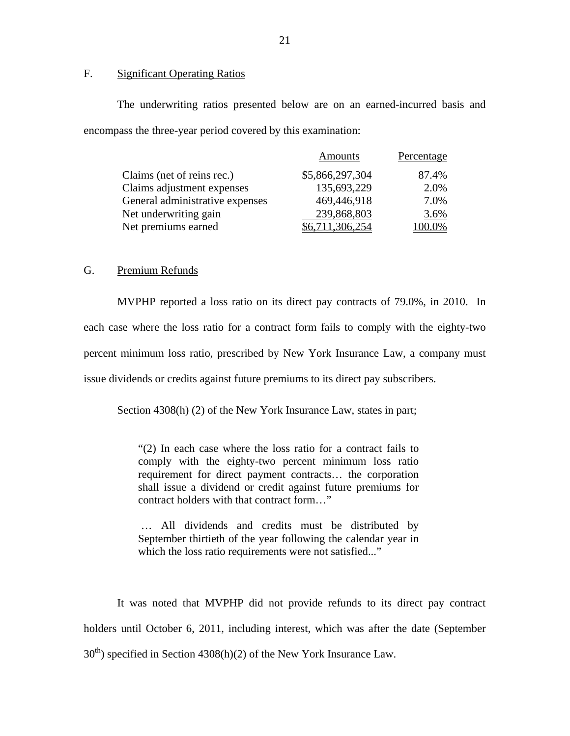#### F. Significant Operating Ratios

The underwriting ratios presented below are on an earned-incurred basis and encompass the three-year period covered by this examination:

|                                 | <b>Amounts</b>  | Percentage |
|---------------------------------|-----------------|------------|
| Claims (net of reins rec.)      | \$5,866,297,304 | 87.4%      |
| Claims adjustment expenses      | 135,693,229     | 2.0%       |
| General administrative expenses | 469,446,918     | 7.0%       |
| Net underwriting gain           | 239,868,803     | 3.6%       |
| Net premiums earned             | \$6,711,306,254 | $.00.0\%$  |

#### G. Premium Refunds

MVPHP reported a loss ratio on its direct pay contracts of 79.0%, in 2010. In each case where the loss ratio for a contract form fails to comply with the eighty-two percent minimum loss ratio, prescribed by New York Insurance Law, a company must issue dividends or credits against future premiums to its direct pay subscribers.

Section 4308(h) (2) of the New York Insurance Law, states in part;

"(2) In each case where the loss ratio for a contract fails to comply with the eighty-two percent minimum loss ratio requirement for direct payment contracts… the corporation shall issue a dividend or credit against future premiums for contract holders with that contract form…"

… All dividends and credits must be distributed by September thirtieth of the year following the calendar year in which the loss ratio requirements were not satisfied..."

It was noted that MVPHP did not provide refunds to its direct pay contract holders until October 6, 2011, including interest, which was after the date (September  $30<sup>th</sup>$ ) specified in Section 4308(h)(2) of the New York Insurance Law.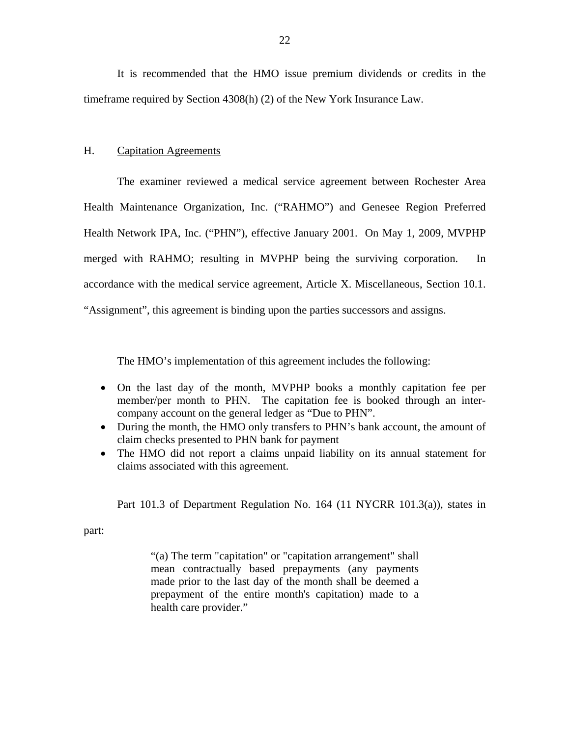<span id="page-23-0"></span>It is recommended that the HMO issue premium dividends or credits in the timeframe required by Section 4308(h) (2) of the New York Insurance Law.

#### H. Capitation Agreements

The examiner reviewed a medical service agreement between Rochester Area Health Maintenance Organization, Inc. ("RAHMO") and Genesee Region Preferred Health Network IPA, Inc. ("PHN"), effective January 2001. On May 1, 2009, MVPHP merged with RAHMO; resulting in MVPHP being the surviving corporation. In accordance with the medical service agreement, Article X. Miscellaneous, Section 10.1. "Assignment", this agreement is binding upon the parties successors and assigns.

The HMO's implementation of this agreement includes the following:

- On the last day of the month, MVPHP books a monthly capitation fee per member/per month to PHN. The capitation fee is booked through an intercompany account on the general ledger as "Due to PHN".
- During the month, the HMO only transfers to PHN's bank account, the amount of claim checks presented to PHN bank for payment
- The HMO did not report a claims unpaid liability on its annual statement for claims associated with this agreement.

Part 101.3 of Department Regulation No. 164 (11 NYCRR 101.3(a)), states in

part:

"(a) The term "capitation" or "capitation arrangement" shall mean contractually based prepayments (any payments made prior to the last day of the month shall be deemed a prepayment of the entire month's capitation) made to a health care provider."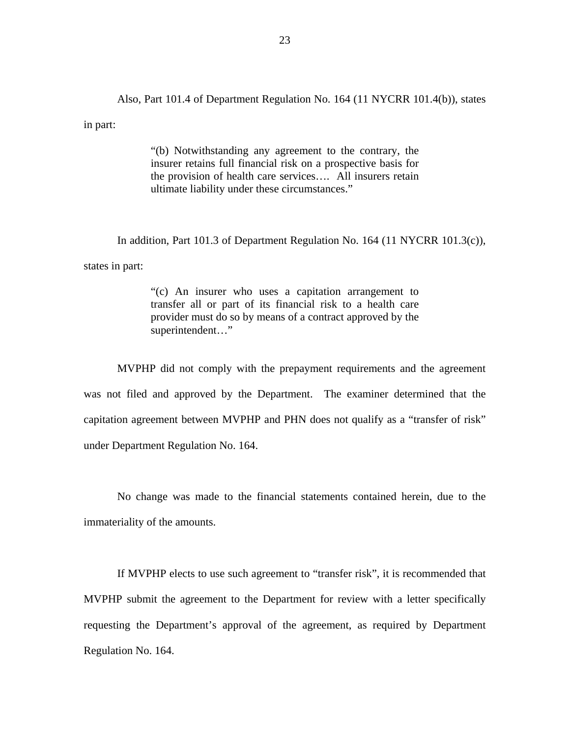Also, Part 101.4 of Department Regulation No. 164 (11 NYCRR 101.4(b)), states in part:

> "(b) Notwithstanding any agreement to the contrary, the insurer retains full financial risk on a prospective basis for the provision of health care services…. All insurers retain ultimate liability under these circumstances."

In addition, Part 101.3 of Department Regulation No. 164 (11 NYCRR 101.3(c)),

states in part:

"(c) An insurer who uses a capitation arrangement to transfer all or part of its financial risk to a health care provider must do so by means of a contract approved by the superintendent…"

MVPHP did not comply with the prepayment requirements and the agreement was not filed and approved by the Department. The examiner determined that the capitation agreement between MVPHP and PHN does not qualify as a "transfer of risk" under Department Regulation No. 164.

No change was made to the financial statements contained herein, due to the immateriality of the amounts.

If MVPHP elects to use such agreement to "transfer risk", it is recommended that MVPHP submit the agreement to the Department for review with a letter specifically requesting the Department's approval of the agreement, as required by Department Regulation No. 164.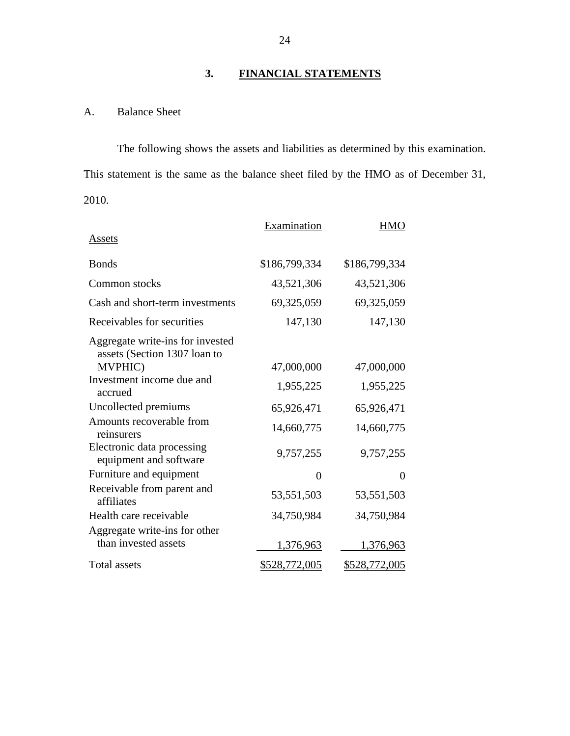# **3. FINANCIAL STATEMENTS**

# A. Balance Sheet

The following shows the assets and liabilities as determined by this examination. This statement is the same as the balance sheet filed by the HMO as of December 31, 2010.

|                                                                  | Examination          | HMO                  |
|------------------------------------------------------------------|----------------------|----------------------|
| Assets                                                           |                      |                      |
| <b>Bonds</b>                                                     | \$186,799,334        | \$186,799,334        |
| Common stocks                                                    | 43,521,306           | 43,521,306           |
| Cash and short-term investments                                  | 69,325,059           | 69,325,059           |
| Receivables for securities                                       | 147,130              | 147,130              |
| Aggregate write-ins for invested<br>assets (Section 1307 loan to |                      |                      |
| MVPHIC)                                                          | 47,000,000           | 47,000,000           |
| Investment income due and<br>accrued                             | 1,955,225            | 1,955,225            |
| Uncollected premiums                                             | 65,926,471           | 65,926,471           |
| Amounts recoverable from<br>reinsurers                           | 14,660,775           | 14,660,775           |
| Electronic data processing<br>equipment and software             | 9,757,255            | 9,757,255            |
| Furniture and equipment                                          | $\theta$             | $\Omega$             |
| Receivable from parent and<br>affiliates                         | 53,551,503           | 53,551,503           |
| Health care receivable                                           | 34,750,984           | 34,750,984           |
| Aggregate write-ins for other                                    |                      |                      |
| than invested assets                                             | 1,376,963            | 1,376,963            |
| <b>Total assets</b>                                              | <u>\$528,772,005</u> | <u>\$528,772,005</u> |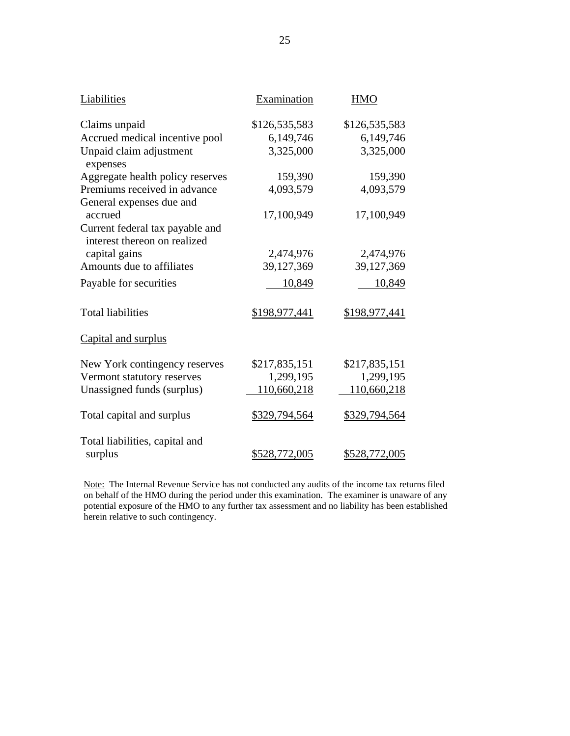| Liabilities                                                     | Examination   | <b>HMO</b>    |
|-----------------------------------------------------------------|---------------|---------------|
| Claims unpaid                                                   | \$126,535,583 | \$126,535,583 |
| Accrued medical incentive pool                                  | 6,149,746     | 6,149,746     |
| Unpaid claim adjustment<br>expenses                             | 3,325,000     | 3,325,000     |
| Aggregate health policy reserves                                | 159,390       | 159,390       |
| Premiums received in advance<br>General expenses due and        | 4,093,579     | 4,093,579     |
| accrued                                                         | 17,100,949    | 17,100,949    |
| Current federal tax payable and<br>interest thereon on realized |               |               |
| capital gains                                                   | 2,474,976     | 2,474,976     |
| Amounts due to affiliates                                       | 39,127,369    | 39,127,369    |
| Payable for securities                                          | 10,849        | 10,849        |
| <b>Total liabilities</b>                                        | \$198,977,441 | \$198,977,441 |
| Capital and surplus                                             |               |               |
| New York contingency reserves                                   | \$217,835,151 | \$217,835,151 |
| Vermont statutory reserves                                      | 1,299,195     | 1,299,195     |
| Unassigned funds (surplus)                                      | 110,660,218   | 110,660,218   |
| Total capital and surplus                                       | \$329,794,564 | \$329,794,564 |
| Total liabilities, capital and<br>surplus                       | \$528,772,005 | \$528,772,005 |

Note: The Internal Revenue Service has not conducted any audits of the income tax returns filed on behalf of the HMO during the period under this examination. The examiner is unaware of any potential exposure of the HMO to any further tax assessment and no liability has been established herein relative to such contingency.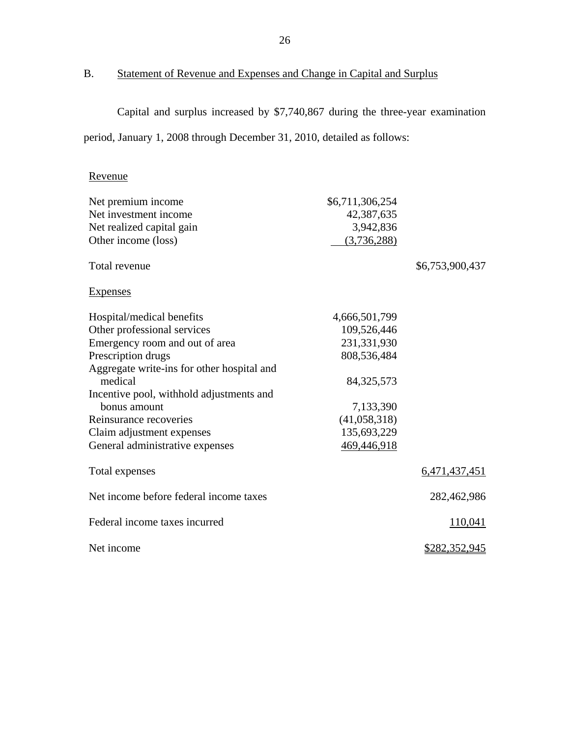# B. Statement of Revenue and Expenses and Change in Capital and Surplus

Capital and surplus increased by \$7,740,867 during the three-year examination period, January 1, 2008 through December 31, 2010, detailed as follows:

# Revenue

| Net premium income                         | \$6,711,306,254 |                      |
|--------------------------------------------|-----------------|----------------------|
| Net investment income                      | 42,387,635      |                      |
| Net realized capital gain                  | 3,942,836       |                      |
| Other income (loss)                        | (3,736,288)     |                      |
| Total revenue                              |                 | \$6,753,900,437      |
| <b>Expenses</b>                            |                 |                      |
| Hospital/medical benefits                  | 4,666,501,799   |                      |
| Other professional services                | 109,526,446     |                      |
| Emergency room and out of area             | 231,331,930     |                      |
| Prescription drugs                         | 808,536,484     |                      |
| Aggregate write-ins for other hospital and |                 |                      |
| medical                                    | 84, 325, 573    |                      |
| Incentive pool, withhold adjustments and   |                 |                      |
| bonus amount                               | 7,133,390       |                      |
| Reinsurance recoveries                     | (41,058,318)    |                      |
| Claim adjustment expenses                  | 135,693,229     |                      |
| General administrative expenses            | 469,446,918     |                      |
| Total expenses                             |                 | 6,471,437,451        |
| Net income before federal income taxes     |                 | 282,462,986          |
| Federal income taxes incurred              |                 | 110,041              |
| Net income                                 |                 | <u>\$282,352,945</u> |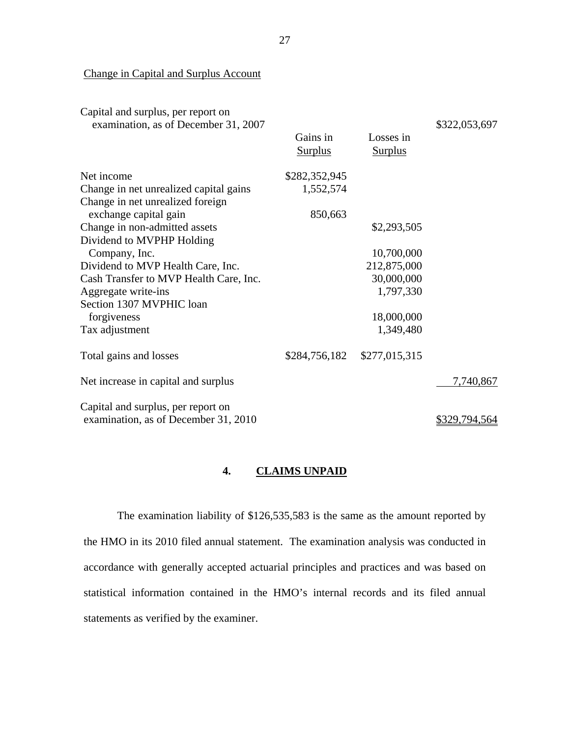Change in Capital and Surplus Account

| Capital and surplus, per report on<br>examination, as of December 31, 2007 | Gains in<br><b>Surplus</b> | Losses in<br><b>Surplus</b> | \$322,053,697        |
|----------------------------------------------------------------------------|----------------------------|-----------------------------|----------------------|
| Net income                                                                 | \$282,352,945              |                             |                      |
| Change in net unrealized capital gains                                     | 1,552,574                  |                             |                      |
| Change in net unrealized foreign                                           |                            |                             |                      |
| exchange capital gain                                                      | 850,663                    |                             |                      |
| Change in non-admitted assets                                              |                            | \$2,293,505                 |                      |
| Dividend to MVPHP Holding                                                  |                            |                             |                      |
| Company, Inc.                                                              |                            | 10,700,000                  |                      |
| Dividend to MVP Health Care, Inc.                                          |                            | 212,875,000                 |                      |
| Cash Transfer to MVP Health Care, Inc.                                     |                            | 30,000,000                  |                      |
| Aggregate write-ins                                                        |                            | 1,797,330                   |                      |
| Section 1307 MVPHIC loan                                                   |                            |                             |                      |
| forgiveness                                                                |                            | 18,000,000                  |                      |
| Tax adjustment                                                             |                            | 1,349,480                   |                      |
| Total gains and losses                                                     | \$284,756,182              | \$277,015,315               |                      |
| Net increase in capital and surplus                                        |                            |                             | 7,740,867            |
| Capital and surplus, per report on                                         |                            |                             |                      |
| examination, as of December 31, 2010                                       |                            |                             | <u>\$329,794,564</u> |

#### **4. CLAIMS UNPAID**

The examination liability of \$126,535,583 is the same as the amount reported by the HMO in its 2010 filed annual statement. The examination analysis was conducted in accordance with generally accepted actuarial principles and practices and was based on statistical information contained in the HMO's internal records and its filed annual statements as verified by the examiner.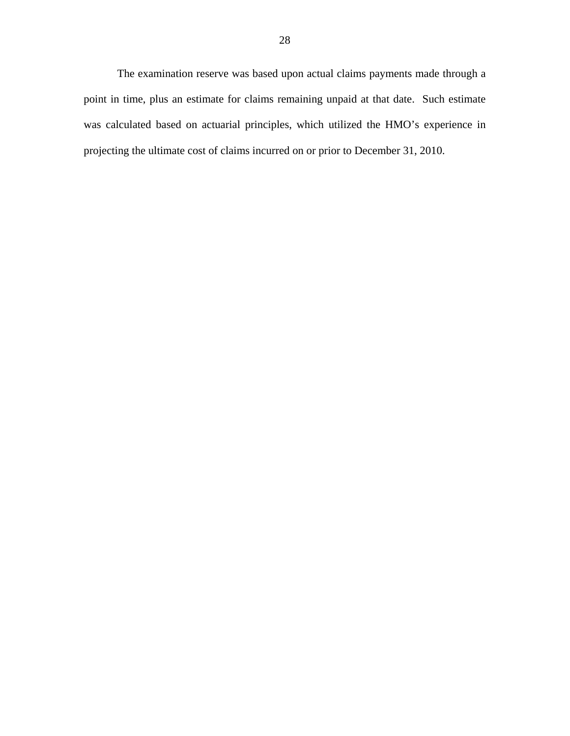The examination reserve was based upon actual claims payments made through a point in time, plus an estimate for claims remaining unpaid at that date. Such estimate was calculated based on actuarial principles, which utilized the HMO's experience in projecting the ultimate cost of claims incurred on or prior to December 31, 2010.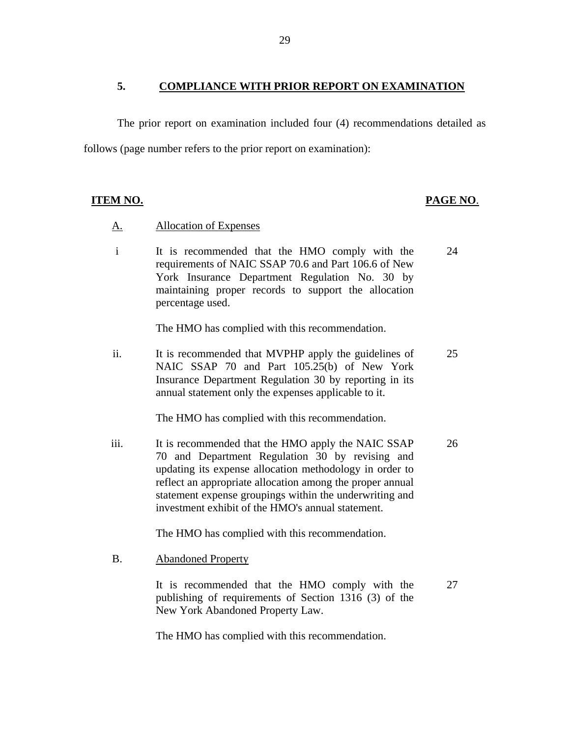#### **5. COMPLIANCE WITH PRIOR REPORT ON EXAMINATION**

The prior report on examination included four (4) recommendations detailed as follows (page number refers to the prior report on examination):

#### **ITEM NO. PAGE NO**.

## **Allocation of Expenses**

A. Allocation of Expenses<br>i It is recommended that the HMO comply with the requirements of NAIC SSAP 70.6 and Part 106.6 of New York Insurance Department Regulation No. 30 by maintaining proper records to support the allocation percentage used. 24

The HMO has complied with this recommendation.

ii. It is recommended that MVPHP apply the guidelines of NAIC SSAP 70 and Part 105.25(b) of New York Insurance Department Regulation 30 by reporting in its annual statement only the expenses applicable to it. 25

The HMO has complied with this recommendation.

iii. It is recommended that the HMO apply the NAIC SSAP 70 and Department Regulation 30 by revising and updating its expense allocation methodology in order to reflect an appropriate allocation among the proper annual statement expense groupings within the underwriting and investment exhibit of the HMO's annual statement. 26

The HMO has complied with this recommendation.

**Abandoned Property** 

B. Abandoned Property<br>It is recommended that the HMO comply with the publishing of requirements of Section 1316 (3) of the New York Abandoned Property Law.

27

The HMO has complied with this recommendation.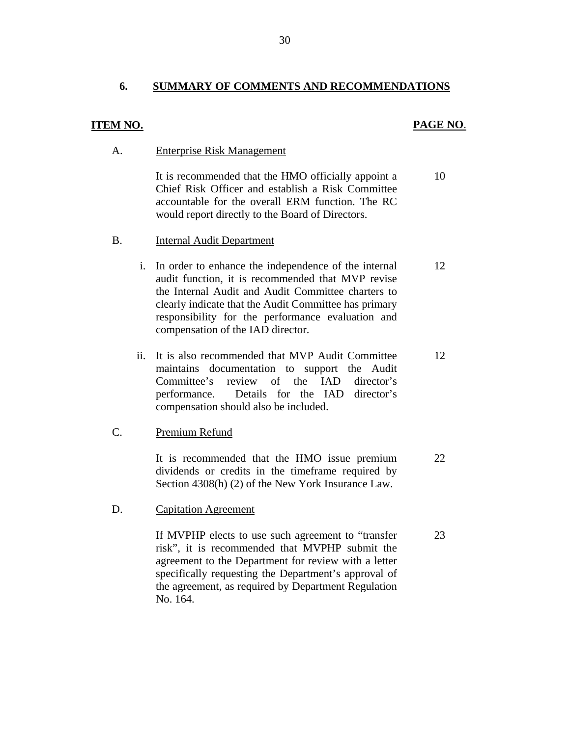#### **6. SUMMARY OF COMMENTS AND RECOMMENDATIONS**

#### **ITEM NO. PAGE NO**.

**Enterprise Risk Management** 

A. Enterprise Risk Management<br>It is recommended that the HMO officially appoint a Chief Risk Officer and establish a Risk Committee accountable for the overall ERM function. The RC would report directly to the Board of Directors. 10

- **Internal Audit Department**
- B. Internal Audit Department<br>i. In order to enhance the independence of the internal audit function, it is recommended that MVP revise the Internal Audit and Audit Committee charters to clearly indicate that the Audit Committee has primary responsibility for the performance evaluation and compensation of the IAD director. 12
	- ii. It is also recommended that MVP Audit Committee maintains documentation to support the Audit Committee's review of the IAD director's performance. Details for the IAD director's compensation should also be included. 12

#### Premium Refund

C. Premium Refund<br>It is recommended that the HMO issue premium dividends or credits in the timeframe required by Section 4308(h) (2) of the New York Insurance Law. 22

**Capitation Agreement** 

D. Capitation Agreement<br>If MVPHP elects to use such agreement to "transfer risk", it is recommended that MVPHP submit the agreement to the Department for review with a letter specifically requesting the Department's approval of the agreement, as required by Department Regulation No. 164. 23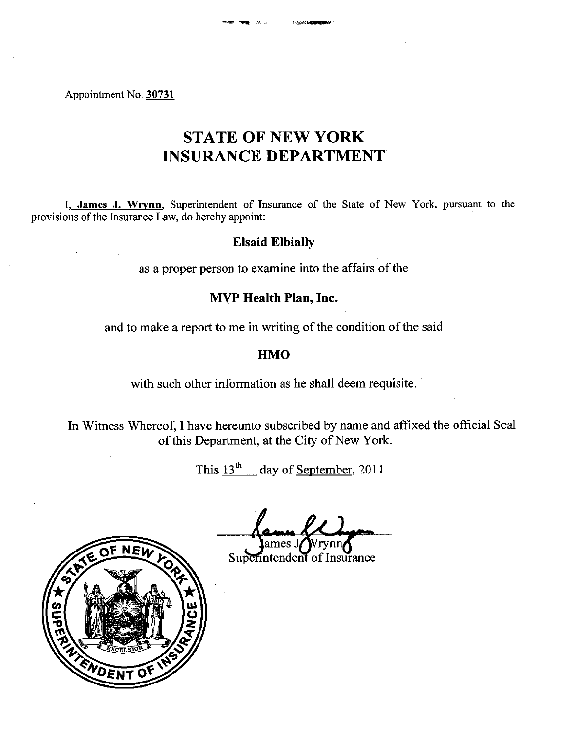#### Appointment No. 30731

# **STATE OF NEW YORK INSURANCE DEPARTMENT**

I, James J. Wrynn, Superintendent of Insurance of the State of New York, pursuant to the provisions of the Insurance Law, do hereby appoint:

# **Elsaid Elbially**

as a proper person to examine into the affairs of the

# MVP Health Plan, Inc.

and to make a report to me in writing of the condition of the said

## **HMO**

with such other information as he shall deem requisite.

In Witness Whereof, I have hereunto subscribed by name and affixed the official Seal of this Department, at the City of New York.

This  $13^{th}$  day of September, 2011

ames J

Superintendent of Insurance